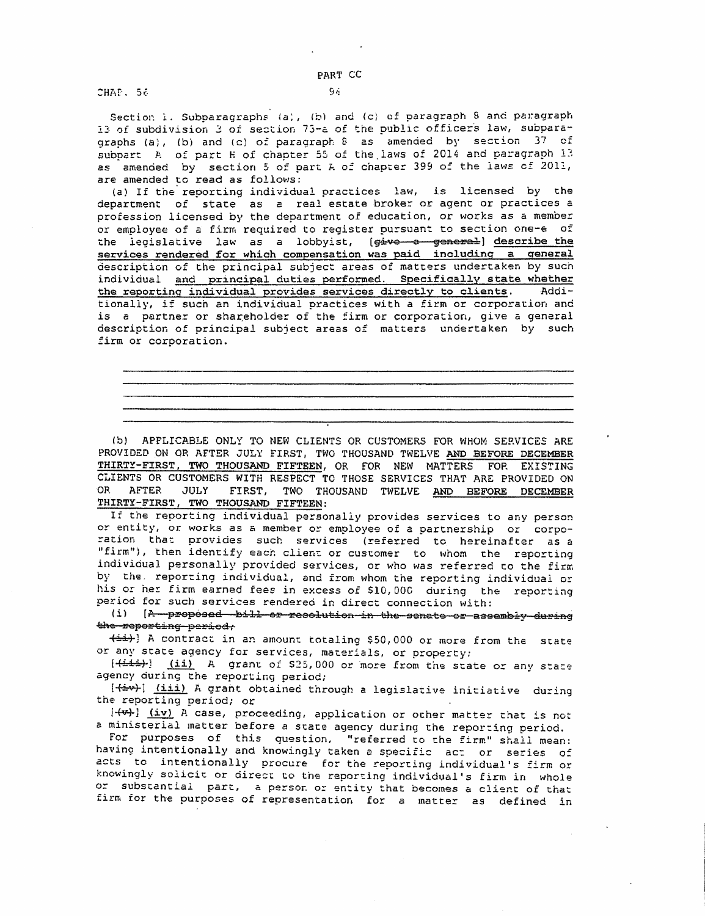CHAP. 56

Section i. Subparagraphs (a), (b) and (c) of paragraph 8 and paragraph 13 of subdivision 3 of section 75-a of the public officers law, subparagraphs (a), (b) and (c) of paragraph  $8$  as amended by section  $37$  of subpart A of part Hof chapter 55 of the.laws of 2014 and paragraph 13 as amended by section 5 of part A of chapter 399 of the laws of 2011, are amended to read as follows:

{a) If the· reporting individual practices law, is licensed by the department of state as a real estate broker or agent or practices *a*  profession licensed by the department of education, or works as a member or employee of a firm required to register pursuant to section one-e of the legislative law as a lobbyist, (give a general) describe the services rendered for which compensation was paid including a general description of the principal subject areas of matcers undertaken by such individual and principal duties oerformed. Specifically state whether the reporting individual provides services directly to clients. Additionally, if such an individual practices with a firm or corporacion and is a partner or shareholder of the firm or corporation, give a general descriptior, of principal subject areas of matters undertaken by such firm or corporation.

(b) APFLICABLE ONLY TO NEW CLIENTS OR CUSTOMERS FOR WHOM SERVICES ARE PROVIDED ON OR AFTER JULY FIRST, TWO THOUSAND TWELVE AND BEFORE DECEMBER THIRTY-FIRST, TWO THOUSAND FIFTEEN, OR FOR NEW MATTERS FOR EXISTING CLIENTS OR CUSTOMERS WITH RESPECT TO THOSE SERVICES THAT ARE PROVIDED ON OR AFTER JULY FIRST, TWO THOUSAND TWELVE AND BEFORE DECEMBER THIRTY-FIRST, TWO THOUSAND FIFTEEN:

If the reporting individual personally provides services to any person or entity, or works as a member or employee of a partnership or corpo-<br>ration that provides such services (referred to hereinafter as a ration that provides such services (referred to hereinafter as a<br>"firm"), then identify each client or customer to whom the reporting individual personally provided services, or who was referred co the firm by the. reporting individual, and from whom the reporting individual or his or her firm earned fees in excess of \$10,000 during the reporting period for such services rendered in direct connection with:

(i) [A proposed bill or resolution in the senate or assembly during the reporting period,

 $+5$ i+] A contract in an amount totaling \$50,000 or more from the state or any state agency for services, materials, or property:

[<del>(iii)</del> (ii) A grant of \$25,000 or more from the state or any state agency during the reporting period;

 $[+iv]$   $(iii)$  A grant obtained through a legislative initiative during the reporting period; or

 $[-1, 1, 1]$  (iv) A case, proceeding, application or other matter that is not a ministerial matter before a state agency during the reporting period.

For purposes of this question, "referred to che firm" shall mean: having intentionally and knowingly taken a specific act or series of acts to intentionally procure for the reporcing individual's firm or knowingly solicic or direct to the reporting individual's firm in whole or substantial part, a person or entity that becomes a client of that firm for the purposes of representation for a matter as defined in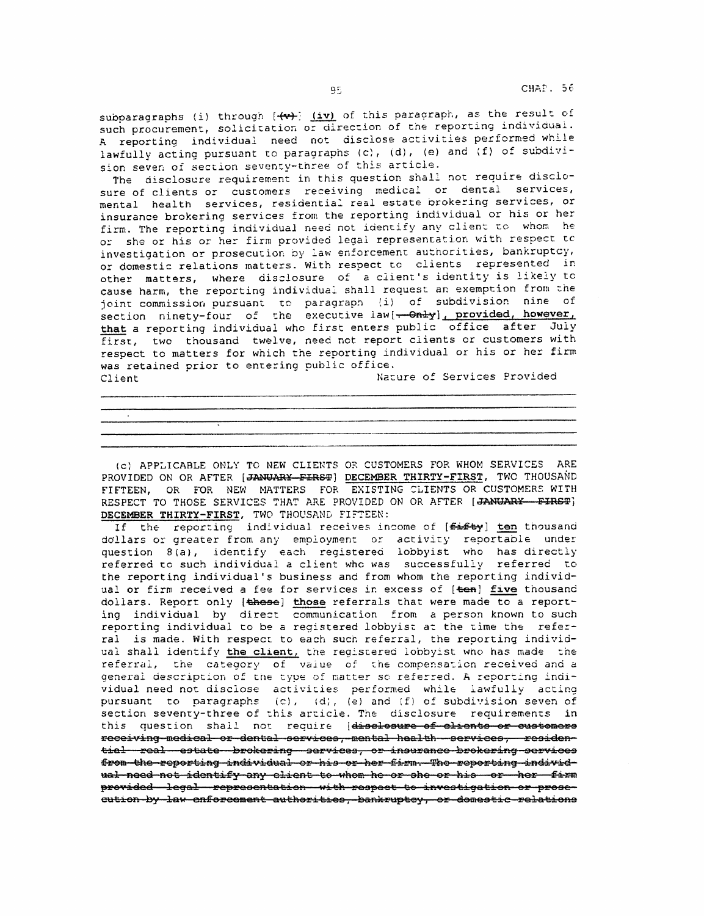subparagraphs (i) through  $\overline{+}\overline{(+)}\overline{(-)}$  of this paragraph, as the result of such procurement, solicitation or direction of the reporting individual. A reporting individual need not disclose activities performed while lawfully acting pursuant to paragraphs  $(c)$ ,  $(d)$ ,  $(e)$  and  $(f)$  of subdivision seven of section seventy-three of this article.

The disclosure requirement in this question shall not require disclosure of clients or customers receiving medical or dental services, mental health services, residential real estate brokering services, or insurance brokering services from the reporting individual or his or her firm. The reporting individual need not identify any client to whom he or she or his or her firm provided legal representation with respect to investigation or prosecution by law enforcement authorities, bankruptcy, or domestic relations matters. With respect tc clients represented *in*  other matters, where disclosure of a client's identity is likely tc cause harm, the reporting individual shall request an exemption from the joint commission pursuant to paragraph (i) of subdivision nine of section ninety-four of the executive law[--Only], provided, however, that a reporting individual who first enters public office after July first, two thousand twelve, need not report clients or customers with respect to matters for which the reporting individual or his or her firm was retained prior to entering public office. Client Client Nature of Services Provided

(c) APPLICABLE ONLY TO NEW CLIENTS OR CUSTOMERS FOR WHOM SERVICES ARE PROVIDED ON OR AFTER [JANUARY FIRST] DECEMBER THIRTY-FIRST, TWO THOUSAND FIFTEEN, OR FOR NEW MATTERS FOR EXISTING SLIENTS OR CUSTOMERS WITH RESPECT TO THOSE SERVICES THAT ARE PROVIDED ON OR AFTER [JANUARY-FIRST] DECEMBER THIRTY-FIRST, TWO THOUSAND FIFTEEN:

If the reporting individual receives income of [Eifty] ten thousand dollars or greater from any employment or activity reportable under question B{a}, identify each registered lobbyist who has directly referred to such individual a client whc was successfully referred to the reporting individual's business and from whom the reporting individual or firm received a fee for services in excess of [ten] five thousand dollars. Report only [these] those referrals that were made to a reporting individual by direct communication from a person known to such reporting individual to be a registered lobbyist at the time the referral is made. With respect to each such referral, the reporting individual shall identify the client, the registered lobbyist who has made the referral, the category of value of the compensation received and a general description of the type of matter so referred. A reporting individual need not disclose activities performed while lawfully acting pursuant to paragraphs (c), (d), (e) and (f) of subdivision seven of section seventy-three of this article. The disclosure requirements in this question shall not require (disclesure of clients or customers receiving medical or dental services, mental health services, residen tiel real estate brokering services, or insurance brokering services from the reporting individual or his or her firm. The reporting individual need not identify any elient to whom he or ohe or his or her firm provided legal representation with respect to investigation or proseeution-by law enforcement authorities, bankruptcy, or domestic relations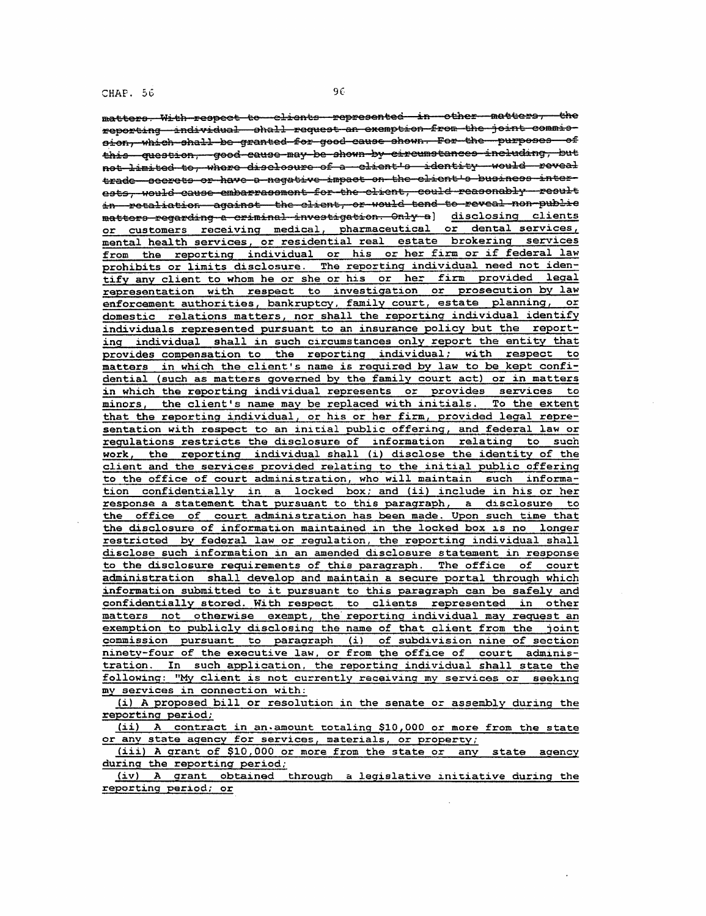matters. With respect to clients represented in other matters, the reporting andividual ohall request an exemption from the joint commiesion, which shall be granted for good cause shown. For the purposes of this question, good cause may be shown by circumstances including, but net limited te, where disclesure of a client's identity would reveal trade seerets or have a negative impact on the elient's business interests, would cause embarrasement for the elient, could reasonably result in Fetaliation against the client, or would tend to reveal non public matters regarding a criminal investigation. Only a] disclosing clients or customers receiving medical, pharmaceutical or dental services, mental health services, or residential real estate brokering services from the reporting individual or his or her firm or if federal law prohibits or limits disclosure. The reporting individual need not identify any client to whom he or she or his or her firm provided leqal representation with respect to investigation or prosecution by law enforcement authorities, bankruptcy, family court, estate planning, or domestic relations matters, nor shall the reporting individual identify individuals represented pursuant to an insurance policy but the reporting individual shall in such circumstances only report the entity that provides compensation to the reporting individual; with respect to matters in which the client's name is required by law to be kept confidential (such as matters governed by the family court act) or in matters in which the reporting individual represents or provides services to minors, the client's name may be replaced with initials. To the extent that the reporting individual, or his or her firm, provided legal representation with respect to an initial public offering, and federal law or regulations restricts the disclosure of information relating to such work, the reporting individual shall (i) disclose the identity of the client and the services provided relating to the initial public offering to the office of court administration, who will maintain such information confidentially in a locked box; and (ii) include in his or her response a statement that pursuant to this paragraph, a disclosure to the office of court administration has been made. Upon such time that the disclosure of information maintained in the locked box is no longer restricted by federal law or requlation, the reporting individual shall disclose such information in an amended disclosure statement in response to the disclosure requirements of this paraqraph. The office of court administration shall develop and maintain a secure portal through which information submitted to it pursuant to this paragraph can be safely and confidentially stored. With respect to clients represented in other matters not otherwise exempt, the' reporting individual may request an exemption to publicly disclosing the name of that client from the ioint commission pursuant to paraaraph (i) of subdivision nine of section ninety-four of the executive law. or from the office of court administration. In such application, the reporting individual shall state the following: "My client is not currently receivinq mv services or seeking my services in connection with:

{i) A proposed bill or resolution in the senate or assembly during the reporting period;

(ii) A contract in an-amount eotaling \$10,000 or more from the state or anv state agency for services, materials, *or* propertyi

(iii) A grant of \$10,000 or more from the state or any state agency during the reporting period;

(iv) A arant obtained through a legislative initiative during the reporting period; or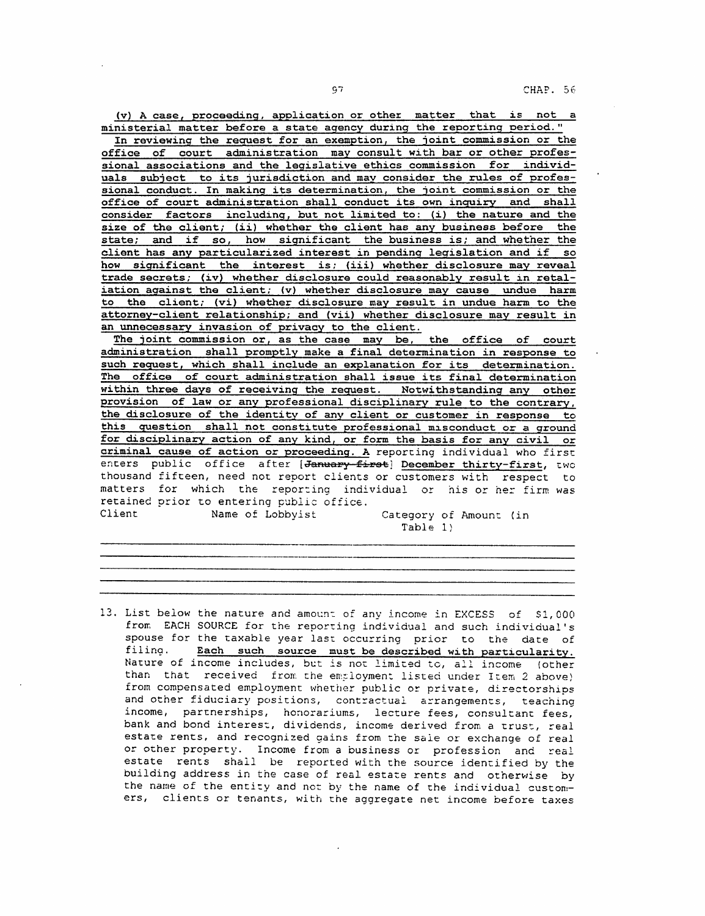(v) A case, proceeding, application or other matter that is not a ministerial matter before a state agency during the reporting Deriod."

In reviewing the request for an exemption, the joint commission or the office of court administration may consult with bar or other professional associations and the legislative ethics commission for individuals subject to its jurisdiction and may consider the rules of professional conduct. In making its determination, the joint commission or the office of court administration shall conduct its own inquiry and shall consider factors including, but not limited to: (i) the nature and the size of the client; (ii) whether the client has any business before the state; and if so, how significant the business is; and whether the client has any particularized interest in pending legislation and if so how significant the interest is; (iii) whether disclosure may reveal trade secrets; (iv) whether disclosure could reasonably result in retaliation against the client; (v) whether disclosure may cause undue harm to the client; (vi) whether disclosure may result in undue harm to the attorney-client relationship; and (vii) whether disclosure may result in an unnecessary invasion of privacy to the client.

The joint commission or, as the case may be, the office of court administration shall promptly make a final determination in response to such request, which shall include an explanation for its determination. The office of court administration shall issue its final determination within three days of receiving the request. Notwithstanding any other provision of law or any professional disciplinary rule to the contrary, the disclosure of the identity of any client or customer in response to this question shall not constitute professional misconduct or a ground for disciplinary action of any kind, or form the basis for any civil or criminal cause of action or proceeding. A reporcing individual who firsc enters public office after [January-first] December thirty-first, two thousand fifteen, need not report clients or customers with respect to matters for which the reporting individual or his or her firm was retained prior to entering public office.<br>Client Mame of Lobbyist Client Name of Lobbyist Category of Amount (in

Table 1)

13. List below the nature and amount of any income in EXCESS of \$1,000 from EACH SOURCE for the reporting individual and such individual's spouse for the taxable year last occurring prior to the date of<br>filing. Each such source must be described with particularity Each such source must be described with particularity. Nature of income includes, but is not limited to, all income (other than that received from the employment listed under Item 2 above) from compensated employment whether public or private, directorships and other fiduciary positions, contractual arrangements, teaching income, partnerships, honorariums, lecture fees, consultant fees, bank and bond interest, dividends, income derived from a trust, real estate rents, and recognized gains from the sale or exchange of real or other property. Income from a business or profession and real estate rents shall be reported with the source identified by the building address in the case of real estate rents and otherwise by the name of the entity and not by the name of the individual customers, clients or tenants, with the aggregate net income before taxes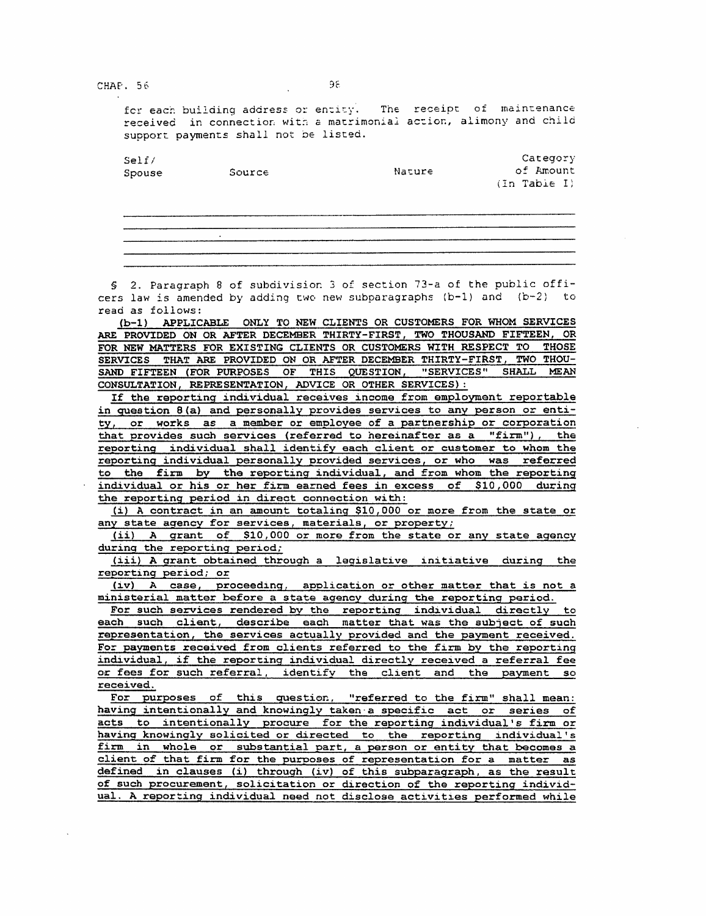CHAP. 56

for each building address or entity. The receipt of maintenance received in connection with a matrimonial action, alimony and child support payments shall not oe listed.

| Self/   |        |        | Category     |  |  |  |  |  |
|---------|--------|--------|--------------|--|--|--|--|--|
| Spouse  | Source | Nature | of Amount    |  |  |  |  |  |
|         |        |        | (In Table I) |  |  |  |  |  |
|         |        |        |              |  |  |  |  |  |
|         |        |        |              |  |  |  |  |  |
|         |        |        |              |  |  |  |  |  |
|         |        |        |              |  |  |  |  |  |
| $\cdot$ |        |        |              |  |  |  |  |  |
|         |        |        |              |  |  |  |  |  |
|         |        |        |              |  |  |  |  |  |

§ 2. Paragraph 8 of subdivision 3 of section 73-a of the public officers law is amended by adding two new subparagraphs  $(b-1)$  and  $(b-2)$  to read as follows:

(b-1) APPLICABLE ONLY TO NEW CLIENTS OR CUSTOMERS FOR WHOM SERVICES ARE PROVIDED ON OR AFTER DECEMBER THIRTY-FIRST, TWO THOUSAND FIFTEEN, OR FOR NEW MATTERS FOR EXISTING CLIENTS OR CUSTOMERS WITH RESPECT TO THOSE SERVICES THAT ARE PROVIDED ON OR AFTER DECEMBER THIRTY-FIRST, TWO THOU-SAND FIFTEEN (FOR PURPOSES OF THIS QUESTION, "SERVICES" SHALL MEAN CONSULTATION, REPRESENTATION, ADVICE OR OTHER SERVICES):

If the reporting individual receives income from employment reportable in question B(a) and personally provides services to any person or entity, or works as a member or employee of a partnership or corporation that provides such services (referred to hereinafter as a "firm"), the reoorting individual shall identify each client or customer to whom the reporting individual personally orovided services, or who was referred to the firm by the reporting individua1, and from whom the reporting individual or his or her firm earned fees in excess of \$10,000 during the reporting period in direct connection with:

(i) A contract in an amount totaling \$10,000 or more from the state or any state aqency for services, materials, or property;

(ii) A grant of \$10,000 or more from the state or any state agency durinq the reporting period;

(iii) A qrant obtained through a legislative initiative during the reporting period; or

(iv) A case, proceeding, apolication or other matter that is not a ministerial matter before a state agency during the reporting period.

For such services rendered by the reporting individual directly to each such client, describe each matter that was the subject of such representation, the services actually orovided and the payment received. For payments received from clients referred to the firm by the reporting individual, if the reporting individual directly received a referral fee or fees for such referral, identifv the client and the payment so received.

For purposes of this question, "referred to the firm" shall mean: having intentionally and knowingly taken·a specific act or series of acts to intentionally procure for the reporting individual's firm or havinq knowingly solicited or directed to the reporting individual's firm in whole or substantial part, a person or entity that becomes a client of that firm for the purooses of representation for a matter as defined in clauses (i) through (iv) of this subparagraph, as the result of such procurement, solicitation or direction of the reporting individual. A reporting individual need not disclose activities performed while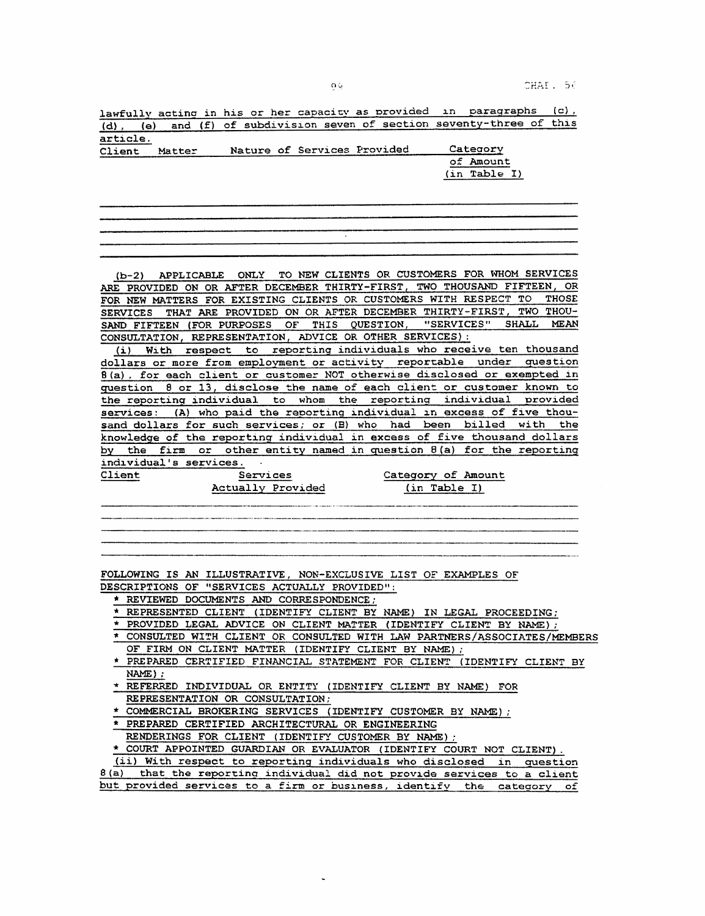CHAP. 56

lawfully acting in his or her capacity as provided in paragraphs  $(c)$ , (d), (e) and (f) of subdivision seven of section seventy-three of this article.

| -------<br>Client | Matter |  | Nature of Services Provided | Category     |  |  |
|-------------------|--------|--|-----------------------------|--------------|--|--|
|                   |        |  |                             | of Amount    |  |  |
|                   |        |  |                             | (in Table I) |  |  |

(b-2) APPLICABLE ONLY TO NEW CLIENTS OR CUSTOMERS FOR WHOM SERVICES ARE PROVIDED ON OR AFTER DECEMBER THIRTY-FIRST, TWO THOUSAND FIFTEEN, OR FOR NEW MATTERS FOR EXISTING CLIENTS OR CUSTOMERS WITH RESPECT TO THOSE SERVICES THAT ARE PROVIDED ON OR AFTER DECEMBER THIRTY-FIRST, TWO THOU-SAND FIFTEEN (FOR PURPOSES OF THIS QUESTION, "SERVICES" SHALL MEAN CONSULTATION, REPRESENTATION, ADVICE OR OTHER SERVICES):

(i) With respect to reporting individuals who receive ten thousand dollars or more from employment or activity reportable under question 8(a), for each client or customer NOT otherwise disclosed or exempted in question 8 or 13, disclose the name of each client or customer known to the reportinq individual to whom the reportina individual orovided services: (A) who paid the reporting individual in excess of five thousand dollars for such services; or CB) who had been billed with the knowledge of the reporting individual in excess of five thousand dollars by the firm or other entity named in question 8(a) for the reporting individual's services.  $\sim$  4.

Client Services

Actually Provided

Category of Amount (in Table I)

FOLLOWING IS AN ILLUSTRATIVE, NON-EXCLUSIVE LIST OF EXAMPLES OF

DESCRIPTIONS OF ''SERVICES ACTUALLY PROVIDED":

\* REVIEWED DOCUMENTS AND CORRESPONDENCE;

\* REPRESENTED CLIENT (IDENTIFY CLIENT BY NAME) IN LEGAL PROCEEDING;

- \* PROVIDED LEGAL ADVICE ON CLIENT MATTER (IDENTIFY CLIENT BY NAME);
- \* CONSULTED WITH CLIENT OR CONSULTED WITH LAW PARTNERS/ASSOCIATES/MEMBERS OF FIRM ON CLIENT MATTER (IDENTIFY CLIENT BY NAME) :
- \* PREPARED CERTIFIED FINANCIAL STATEMENT FOR CLIENT (IDENTIFY CLIENT BY NAME);
- \* REFERRED INDIVIDUAL OR ENTITY (IDENTIFY CLIENT BY NAME) FOR REPRESENTATION OR CONSULTATION;

\* COMMERCIAL BROKERING SERVICES (IDENTIFY CUSTOMER BY NAME);

\* PREPARED CERTIFIED ARCHITECTURAL OR ENGINEERING

RENDERINGS FOR CLIENT (IDENTIFY CUSTOMER BY NAME);

\* COURT APPOINTED GUARDIAN OR EVALUATOR (IDENTIFY COURT NOT CLIENT).  $(i)$  With respect to reporting individuals who disclosed

|  |  |  | let) with roapect to reporting individuals who discressed in augstick   |  |  |  |  |  |  |
|--|--|--|-------------------------------------------------------------------------|--|--|--|--|--|--|
|  |  |  | 8(a) that the reporting individual did not provide services to a client |  |  |  |  |  |  |
|  |  |  | but provided services to a firm or business, identify the category of   |  |  |  |  |  |  |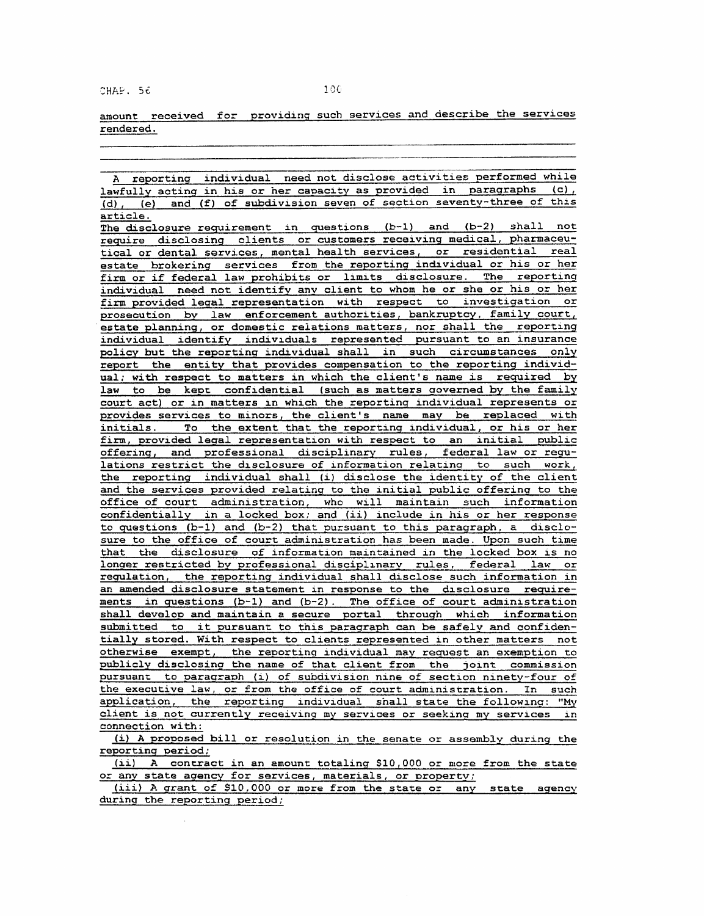CHAP. 56 100

amount received for providing such services and describe the services rendered.

A reporting individual need not disclose activities Performed while lawfully acting in his or her capacity as provided in paragraphs (c), (d), (e) and (f) of subdivision seven of section seventy-three of this article. The disclosure requirement in questions (b-1) and (b-2) shall not require disclosing clients or customers receiving medical, pharmaceutical or dental services, mental health services, or residential real estate brokering services from the reporting individual or his or her firm or if federal law prohibits or limits disclosure. The reporting individual need not identify anv client to whom he or she or his or her firm provided legal representation with respect to investigation or prosecution by law enforcement authorities, bankruptcy, family court, estate planning, or domestic relations matters, nor shall the reporting individual identify individuals represented pursuant to an insurance policy but the reporting individual shall in such circumstances only report the entity that provides compensation to the reporting individual: with respect to matters in which the client's name is required by law to be kept confidential (such as matters governed by the family court act) or in matters in which the reporting individual represents or provides services to minors, the client's name may be replaced with initials. To the extent that the reporting individual, or his or her firm, provided legal representation with respect to an initial public offering, and professional disciolinary rules, federal law or regulations restrict the disclosure of information relatinq to such work, the reporting individual shall (i) disclose the identity of the client and the services provided relating to the initial public offering to the office of court administration, who will maintain such information confidentially in a locked box; and (ii) include in his or her response to questions (b-1) and (b-2) that oursuant to this paragraph. *a* disclosure to the office of court administration has been made. Upon such time that the disclosure of information maintained in the locked box is no longer restricted by professional disciplinary rules, federal law or requlation, the reporting individual shall disclose such information in an amended disclosure statement in response to the disclosure requirements in questions (b-1) and (b-2). The office of court administration shall develop and maintain a secure portal through which information submitted to it pursuant to this paragraph can be safely and confidentially stored. With respect to clients represented in other matters not otherwise exempt, the reporting individual may request an exemption to publicly disclosing the name of that client from the joint commission pursuant to paragraph (i) of subdivision nine of section ninety-four of the executive law, or from the office of court administration. In such application, the reporting individual shall state the followina: "My client is not currently receiving my services or seekino my services in connection with:

(i) A proposed bill or resolution in the senate or assembly during the reporting period;

(ii) A contract in an amount totaling \$10,000 or more from the state or any state agency for services, materials, or property;

(iii) A grant of \$10,000 or more from the state or any state agency durinq the reporting period;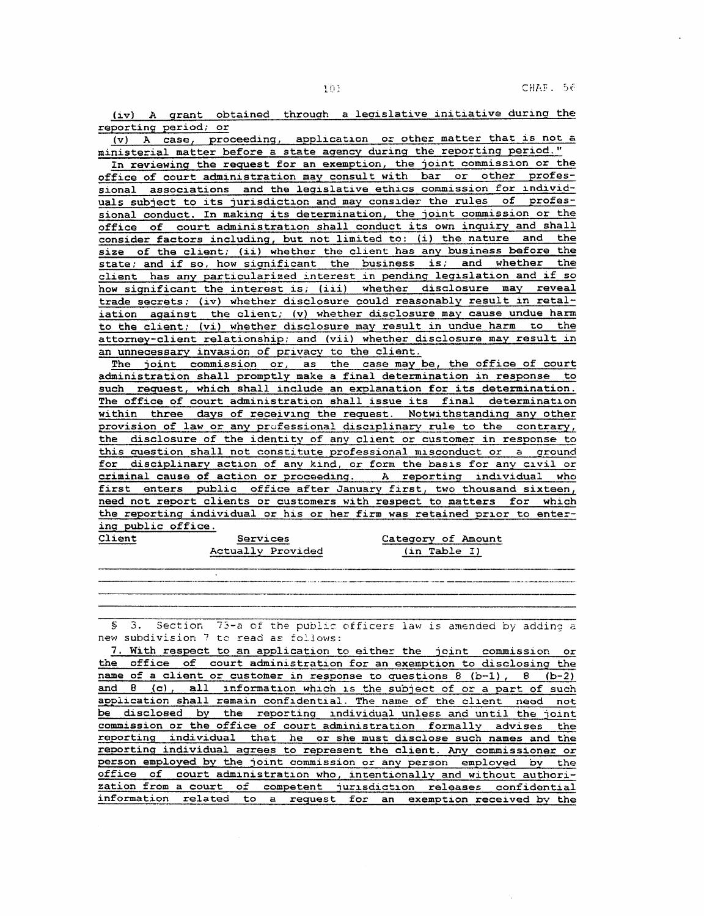l(i]

(iv) A grant obtained through a legislative initiative during the reporting period; or

(v) A case, proceeding, application or other matter that is not a ministerial matter before a state agency during the reporting period."

In reviewing the request for an exemption, the joint commission or the office of court administration may consult with bar or other professional associations and the legislative ethics commission for individuals subject to its jurisdiction and may consider the rules of professional conduct. In making its determination, the joint commission or the office of court administration shall conduct its own inquiry and shall consider factors including, but not limited to: (i) the nature and the size of the client; {ii) whether the client has any business before the state; and if so, how significant the business is; and whether the client has any particularized interest in pendinq legislation and if so how significant the interest is; (iii) whether disclosure may reveal trade secrets; (iv) whether disclosure could reasonably result in retaliation against the client; (v) whether disclosure may cause undue harm to the client; (vi) whether disclosure may result in undue harm to the attorney-client relationship; and (vii) whether disclosure may result in an unnecessary invasion of privacy to the client.

The joint commission or, as the case may be, the office of court administration shall promptly make a final determination in response to such request, which shall include an explanation for its determination. The office of court administration shall issue its final determination within three days of receiving the request. Notwithstanding any other provision of law or any professional disciplinary rule to the contrary, the disclosure of the identity of any client or customer in response to this question shall not constitute professional misconduct or a ground for disciplinary action of anv kind, or form the basis for anv civil or criminal cause of action or proceeding. A reporting individual who first enters public office after January first, two thousand sixteen, need not report clients or customers with respect to matters for which the reporting individual or his or her firm was retained prior to entering public office.

Services<br>Actually Provided

Client

Category of Amount (in Table I)

.<br>In the second communication of the communication in the communication of the communication of the second second second second second second second second second second second second second second second second second sec § 3. Section 73-a of the public officers law is amended by adding a

new subdivision 7 to read as follows:

7. With respect to an apolication to either the joint commission or the office of court administration for an exemption to disclosing the name of a client or customer in response to questions  $8$  (b-1),  $8$  (b-2) and B (c), all information which is the subject of or a part of such application shall remain confidential. The name of the client need not be disclosed by the reporting individual unless and until the joint commission or the office of court administration formally advises the reporting individual that he or she must disclose such names and the reporting individual agrees to represent the client. Any commissioner or person employed by the joint commission or any person employed by the office of court administration who, intentionally and without authorization from a court of competent jurisdiction releases confidential information related to a request for an exemption received bv the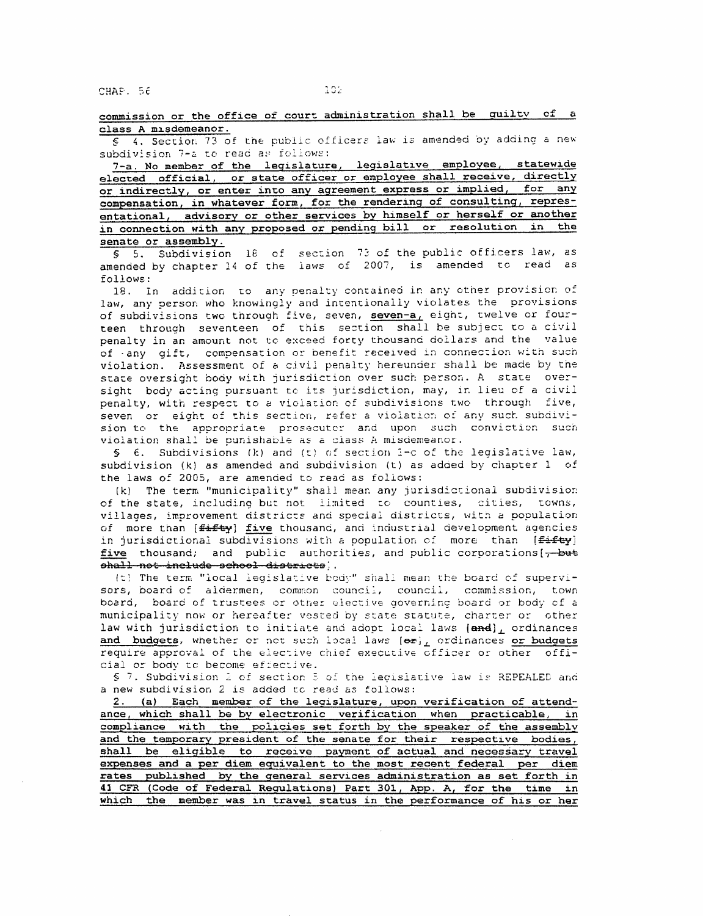CHAP. 5t

commission or the office of court administration shall be quilty of a class A misdemeanor.

§ 4. Section 73 of the public officers law is amended by adding a new subdivision 7-a to read as follows:

7-a. No member of the legislature, legislative employee, statewide elected official, or state officer or employee shall receive, directly or indirectly, or enter inco anv agreement express or implied, for any compensation, in whatever form, for the rendering of consulting, representational, advisory or other services by himself or herself or another in connection with any proposed or pending bill or resolution in the senate or assembly.

§ 5. Subdivision 18 of section 73 of the public officers law, as amended by chapter 14 of the laws of 2007, is amended co read as follows:

18. In addition to any penalty contained in any other provision of law, any person who knowingly and intentionally violates the provisions of subdivisions two through five, seven, seven-a, eight, twelve or fourteen through seventeen of this section shall be subject to a civil penalty in an amount not to exceed forty thousand dollars and the value of -any gift, compensation or benefit received in connection with such violation. Assessment of a civil penalty hereunder shall be made by the state oversight body with jurisdiction over such person. A state oversight body acting pursuant to its jurisdiction, may, in lieu of a civil penalty, with respect to a violation of subdivisions two through five, seven or eight of this section, refer a violation of any such subdivision to the appropriate prosecutor and upon such conviction such violation shall be punishable as a class A misdemeanor.

*§* €. Subdivisions Ck) and (t) of section 1-c of the legisla~ive law, subdivision (kl as amended and subdivision (t) as adaed by chapter 1 of the laws of 2005, are amended to read as follows:

(k) The term "municipality" shall mean any jurisdictional subdivision of the state, including but not limited to counties, cities, towns, villages, improvement districts and special districts, with a population<br>of more than [<del>fifty</del>] five thousand, and industrial development agencies of more than [<del>fifty</del>] <u>five</u> thousand, and industrial development agencies<br>in jurisdictional subdivisions with a population of more than [<del>fifty</del>] five thousand; and public authorities, and public corporations  $[-\text{but}$ ahall not include school districts;.

(t) The term "local legislative body" shall mean the board of supervisors, board of aldermen, common council, council, commission, town board, board of trustees or other elective governing board or body of a municipality now or hereafter vested by state statute, charter or other law with jurisdiction to initiate and adopt local laws  ${(\text{and})}_L$  ordinances and budgets, whether or not such local laws  ${e_{\texttt{F}}}_L$  ordinances or budgets require approval of the elective chief executive officer or other official or body to become effective.

§ 7. Subdivision 2 of section 5 of the legislative law is REPEALED and a new subdivision 2 is added tc read as follows:

2. (a) Each member of the legislature, upon verification of attend-A. (4) Bath member of the according term interesting ance, which shall be by electronic verification when practicable, in compliance with the policies set forth by the speaker of the assembly and the temporary president of the senate for their respective bodies, shall be eligible to receive payment of actual and necessary travel expenses and a per diem equivalent to the most recent federal per diem rates published by the general services administration as set forth in 41 CFR (Code of Federal Regulations) Part 301, App. A, for the time in which the member was in travel status in the performance of his or her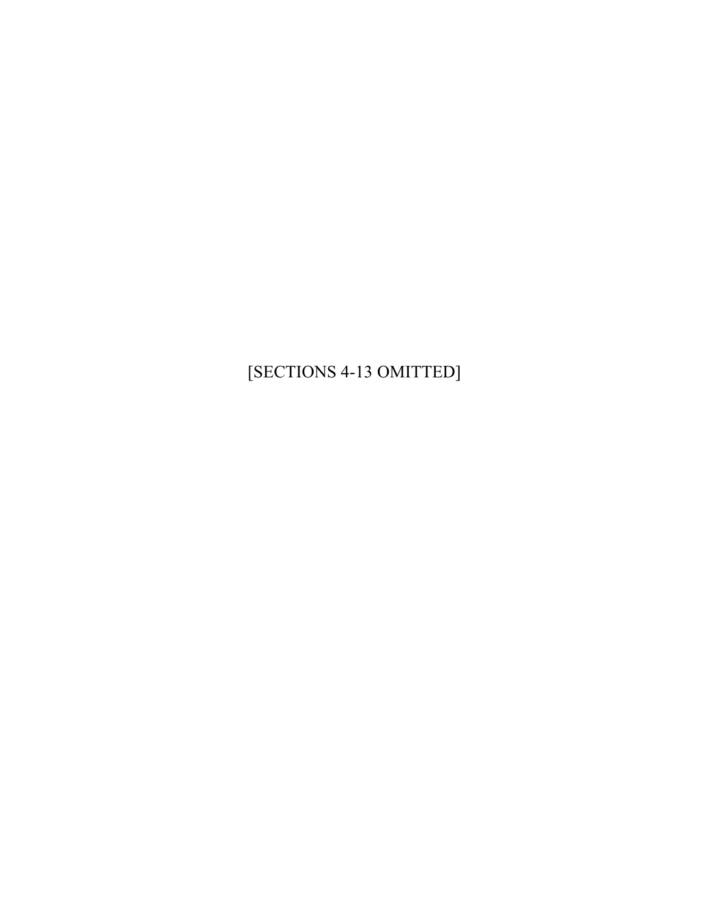[SECTIONS 4-13 OMITTED]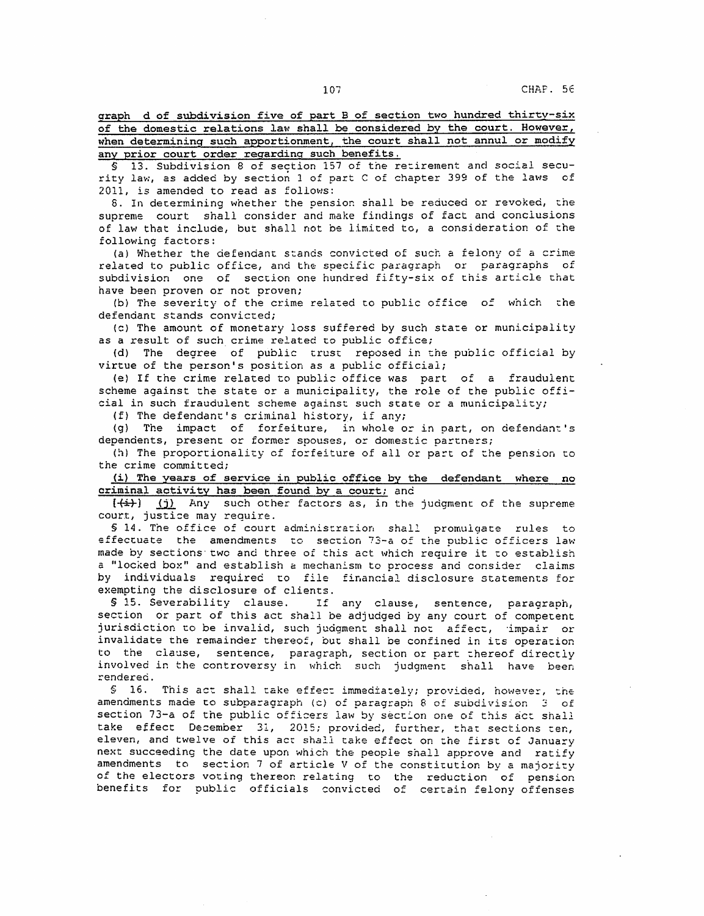graph d of subdivision five of part B of section two hundred thirty-six of the domestic relations law shall be considered by the court. However, when determining such apportionment, the court shall not annul or modify any prior court order regardinq such benefits.

§ 13. Subdivision 8 of section 157 of the retirement and social security law, as added by section 1 of part C of chapter 399 of the laws of 2011, is amended to read as follows:

6. In determining whether the pension shall be reduced or revoked, che supreme court shall consider and make findings of fact and conclusions of law that include, but shall not be limited to, a consideration of the following factors:

(a) Whether the defendant stands convicted of such a felony of a crime related to public office, and the specific paragraph or paragraphs of subdivision one of section one hundred fifty-six of this article that have been proven or not proven;

(b) The severity of the crime related to public office of which che defendant stands convicted;

(c) The amount of monetary loss suffered by such state or municipality as a result of such crime related to public office;

(d) The degree of public trust reposed in the public official by virtue of the person's position as a public officiai;

(e) If the crime related to public office was part of a fraudulent scheme against che state or a municipality, the role of the public official in such fraudulent scheme against such state or a municipality;

(f) The defendant's criminal history, if any;

(g) The impact of forfeiture, in whole or in part, on defendant's dependents, present or former spouses, or domestic partners;

(h) The proportionality of forfeiture of all or part of the pension to the crime committed;

 $(i)$  The years of service in public office by the defendant where no criminal activity has been found by a court; and

 $\{\leftrightarrow\}$  (j) Any such other factors as, in the judgment of the supreme court, justice may require.

§ 14. The office of court administration shall promulgate rules to effectuate the amendments to section 73-a of the public officers law made by sections· twc and three of this act which require it co establish a "locked box" and establish a mechanism to process and consider claims by individuals required co file financial disclosure statements for exempting the disclosure of clients.<br>\$15. Severability clause. If

If any clause, sentence, paragraph, section or part of this act shall be adjudged by any court of competent jurisdiction to be invalid, such judgment shall not affect, impair or invalidate the remainder thereof, but shall be confined in its operacion to the clause, sentence, paragraph, section or part thereof directly involved in the controversy in which such judgment shall have been rendered.

§ 16. This act shall take effect immediately; provided, however, the amendments made to subparagraph (c) of paragraph 8 of subdivision  $3$  of section 73-a of the public officers law by section one of this act shall take effect December 31, 2015; provided, further, that sections ten, eleven, and twelve of this act shall cake effect on the first of January next succeeding the date upon which the people shall approve and ratify amendments to sec ion 7 of article V of the consticution by *a* majority of the electors voting thereon relating to the reduction of pension benefits for public officials convicted of certain felony offenses